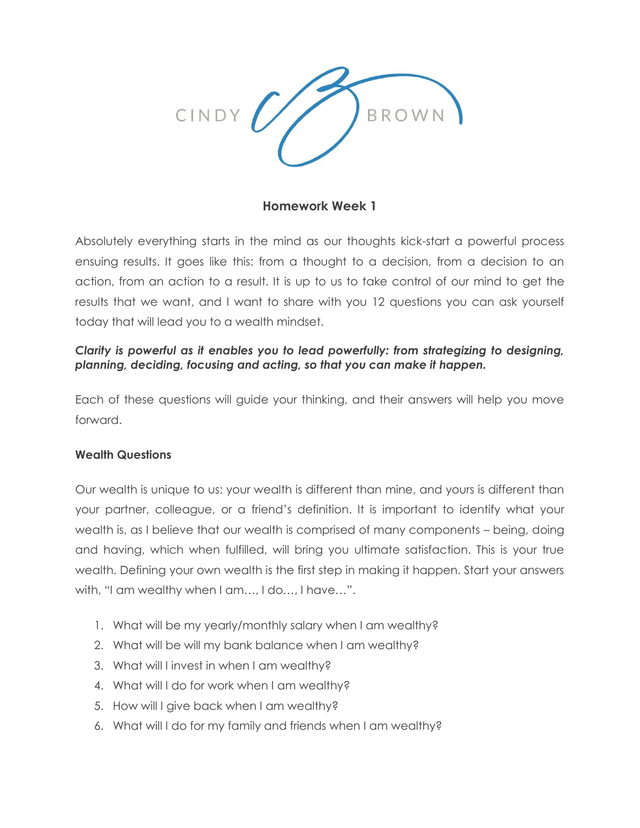

### **Homework Week 1**

Absolutely everything starts in the mind as our thoughts kick-start a powerful process ensuing results. It goes like this: from a thought to a decision, from a decision to an action, from an action to a result. It is up to us to take control of our mind to get the results that we want, and I want to share with you 12 questions you can ask yourself today that will lead you to a wealth mindset.

### *Clarity is powerful as it enables you to lead powerfully: from strategizing to designing, planning, deciding, focusing and acting, so that you can make it happen.*

Each of these questions will guide your thinking, and their answers will help you move forward.

#### **Wealth Questions**

Our wealth is unique to us: your wealth is different than mine, and yours is different than your partner, colleague, or a friend's definition. It is important to identify what your wealth is, as I believe that our wealth is comprised of many components – being, doing and having, which when fulfilled, will bring you ultimate satisfaction. This is your true wealth. Defining your own wealth is the first step in making it happen. Start your answers with, "I am wealthy when I am…, I do…, I have…".

- 1. What will be my yearly/monthly salary when I am wealthy?
- 2. What will be will my bank balance when I am wealthy?
- 3. What will I invest in when I am wealthy?
- 4. What will I do for work when I am wealthy?
- 5. How will I give back when I am wealthy?
- 6. What will I do for my family and friends when I am wealthy?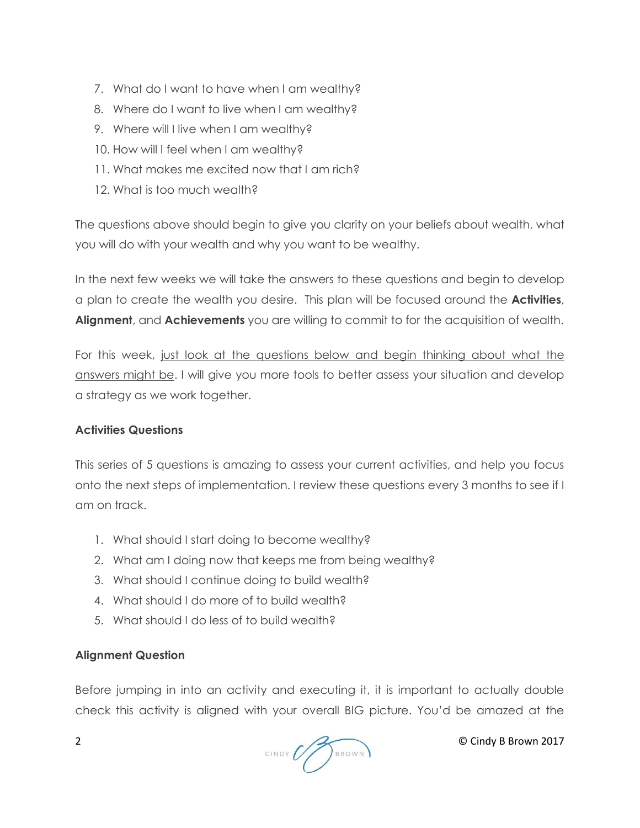- 7. What do I want to have when I am wealthy?
- 8. Where do I want to live when I am wealthy?
- 9. Where will I live when I am wealthy?
- 10. How will I feel when I am wealthy?
- 11. What makes me excited now that I am rich?
- 12. What is too much wealth?

The questions above should begin to give you clarity on your beliefs about wealth, what you will do with your wealth and why you want to be wealthy.

In the next few weeks we will take the answers to these questions and begin to develop a plan to create the wealth you desire. This plan will be focused around the **Activities**, **Alignment**, and **Achievements** you are willing to commit to for the acquisition of wealth.

For this week, just look at the questions below and begin thinking about what the answers might be. I will give you more tools to better assess your situation and develop a strategy as we work together.

# **Activities Questions**

This series of 5 questions is amazing to assess your current activities, and help you focus onto the next steps of implementation. I review these questions every 3 months to see if I am on track.

- 1. What should I start doing to become wealthy?
- 2. What am I doing now that keeps me from being wealthy?
- 3. What should I continue doing to build wealth?
- 4. What should I do more of to build wealth?
- 5. What should I do less of to build wealth?

# **Alignment Question**

Before jumping in into an activity and executing it, it is important to actually double check this activity is aligned with your overall BIG picture. You'd be amazed at the

 $2$  © Cindy B Brown 2017